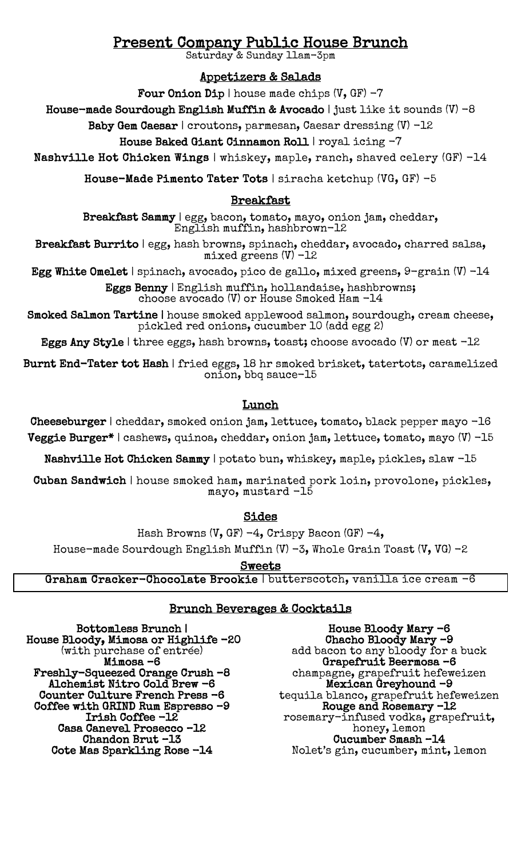# **Present Company Public House Brunch**<br>Saturday & Sunday 11am-3pm

## Appetizers & Salads

Four Onion Dip | house made chips  $(V, GF) - 7$ 

House-made Sourdough English Muffin & Avocado | just like it sounds  $(V)$  -8

Baby Gem Caesar | croutons, parmesan, Caesar dressing (V) -12

House Baked Giant Cinnamon Roll | royal icing -7

Nashville Hot Chicken Wings | whiskey, maple, ranch, shaved celery (GF) -14

House-Made Pimento Tater Tots | siracha ketchup (VG, GF) -5

#### Breakfast

Breakfast Sammy | egg, bacon, tomato, mayo, onion jam, cheddar, English muffin, hashbrown-12

Breakfast Burrito | egg, hash browns, spinach, cheddar, avocado, charred salsa, mixed greens  $(V)$  -12

Egg White Omelet | spinach, avocado, pico de gallo, mixed greens,  $9$ -grain (V) -14

Eggs Benny | English muffin, hollandaise, hashbrowns; choose avocado (V) or House Smoked Ham -14

Smoked Salmon Tartine | house smoked applewood salmon, sourdough, cream cheese, pickled red onions, cucumber 10 (add egg 2)

Eggs Any Style | three eggs, hash browns, toast; choose avocado  $(V)$  or meat  $-12$ 

Burnt End-Tater tot Hash | fried eggs, 18 hr smoked brisket, tatertots, caramelized onion, bbq sauce-15

### Lunch

Cheeseburger | cheddar, smoked onion jam, lettuce, tomato, black pepper mayo -16 Veggie Burger\* | cashews, quinoa, cheddar, onion jam, lettuce, tomato, mayo (V) -15

Nashville Hot Chicken Sammy | potato bun, whiskey, maple, pickles, slaw -15

 Cuban Sandwich | house smoked ham, marinated pork loin, provolone, pickles, mayo, mustard -15

Sides

Hash Browns (V, GF)  $-4$ , Crispy Bacon (GF)  $-4$ ,

House-made Sourdough English Muffin (V)  $-3$ , Whole Grain Toast (V, VG)  $-2$ 

<u>Sweets</u>

Graham Cracker-Chocolate Brookie | butterscotch, vanilla ice cream -6

#### Brunch Beverages & Cocktails

Bottomless Brunch | House Bloody, Mimosa or Highlife -20 (with purchase of entrée) Mimosa –6 Freshly-Squeezed Orange Crush –8 Alchemist Nitro Cold Brew -6 Counter Culture French Press -6 Coffee with GRIND Rum Espresso –9 Irish Coffee -12 Casa Canevel Prosecco –12 Chandon Brut –13 Cote Mas Sparkling Rose -14

House Bloody Mary -6 Chacho Bloody Mary –9 add bacon to any bloody for a buck Grapefruit Beermosa –6 champagne, grapefruit hefeweizen Mexican Greyhound -9 tequila blanco, grapefruit hefeweizen Rouge and Rosemary –12 rosemary-infused vodka, grapefruit, honey, lemon Cucumber Smash –14 Nolet's gin, cucumber, mint, lemon